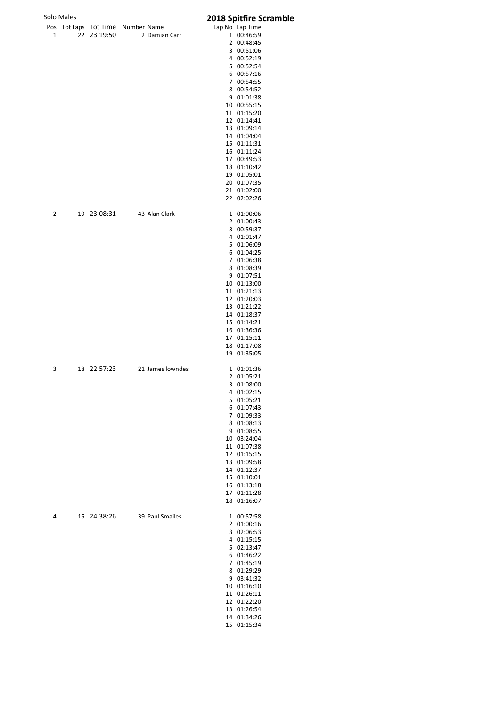## Scramble

|   | Solo Males |             |                                   | 2018 Spitfire S            |
|---|------------|-------------|-----------------------------------|----------------------------|
|   |            |             | Pos Tot Laps Tot Time Number Name | Lap No Lap Time            |
| 1 |            | 22 23:19:50 | 2 Damian Carr                     | 1 00:46:59                 |
|   |            |             |                                   | 2 00:48:45<br>3 00:51:06   |
|   |            |             |                                   | 4 00:52:19                 |
|   |            |             |                                   | 5 00:52:54                 |
|   |            |             |                                   | 6 00:57:16                 |
|   |            |             |                                   | 7 00:54:55                 |
|   |            |             |                                   | 8 00:54:52                 |
|   |            |             |                                   | 9 01:01:38<br>10 00:55:15  |
|   |            |             |                                   | 11 01:15:20                |
|   |            |             |                                   | 12 01:14:41                |
|   |            |             |                                   | 13 01:09:14                |
|   |            |             |                                   | 14 01:04:04                |
|   |            |             |                                   | 15 01:11:31                |
|   |            |             |                                   | 16 01:11:24<br>17 00:49:53 |
|   |            |             |                                   | 18 01:10:42                |
|   |            |             |                                   | 19 01:05:01                |
|   |            |             |                                   | 20 01:07:35                |
|   |            |             |                                   | 21 01:02:00                |
|   |            |             |                                   | 22 02:02:26                |
| 2 |            |             | 19 23:08:31 43 Alan Clark         | 1 01:00:06                 |
|   |            |             |                                   | 2 01:00:43                 |
|   |            |             |                                   | 3 00:59:37<br>4 01:01:47   |
|   |            |             |                                   | 5 01:06:09                 |
|   |            |             |                                   | 6 01:04:25                 |
|   |            |             |                                   | 7 01:06:38                 |
|   |            |             |                                   | 8 01:08:39                 |
|   |            |             |                                   | 9 01:07:51                 |
|   |            |             |                                   | 10 01:13:00<br>11 01:21:13 |
|   |            |             |                                   | 12 01:20:03                |
|   |            |             |                                   | 13 01:21:22                |
|   |            |             |                                   | 14 01:18:37                |
|   |            |             |                                   | 15 01:14:21                |
|   |            |             |                                   | 16 01:36:36                |
|   |            |             |                                   | 17 01:15:11<br>18 01:17:08 |
|   |            |             |                                   | 19 01:35:05                |
| 3 |            | 18 22:57:23 | 21 James lowndes                  | 1 01:01:36                 |
|   |            |             |                                   | 2 01:05:21                 |
|   |            |             |                                   | 3 01:08:00                 |
|   |            |             |                                   | 4 01:02:15                 |
|   |            |             |                                   | 5 01:05:21<br>6 01:07:43   |
|   |            |             |                                   | 7 01:09:33                 |
|   |            |             |                                   | 8 01:08:13                 |
|   |            |             |                                   | 9 01:08:55                 |
|   |            |             |                                   | 10 03:24:04                |
|   |            |             |                                   | 11 01:07:38                |
|   |            |             |                                   | 12 01:15:15<br>13 01:09:58 |
|   |            |             |                                   | 14 01:12:37                |
|   |            |             |                                   | 15 01:10:01                |
|   |            |             |                                   | 16 01:13:18                |
|   |            |             |                                   | 17 01:11:28<br>18 01:16:07 |
|   |            |             |                                   |                            |
| 4 |            |             | 15 24:38:26 39 Paul Smailes       | 1 00:57:58                 |
|   |            |             |                                   | 2 01:00:16                 |
|   |            |             |                                   | 3 02:06:53<br>4 01:15:15   |
|   |            |             |                                   | 5 02:13:47                 |
|   |            |             |                                   | 6 01:46:22                 |
|   |            |             |                                   | 7 01:45:19                 |
|   |            |             |                                   | 8 01:29:29                 |
|   |            |             |                                   | 9 03:41:32                 |
|   |            |             |                                   | 10 01:16:10<br>11 01:26:11 |
|   |            |             |                                   | 12 01:22:20                |
|   |            |             |                                   | 13 01:26:54                |
|   |            |             |                                   | 14 01:34:26                |

01:15:34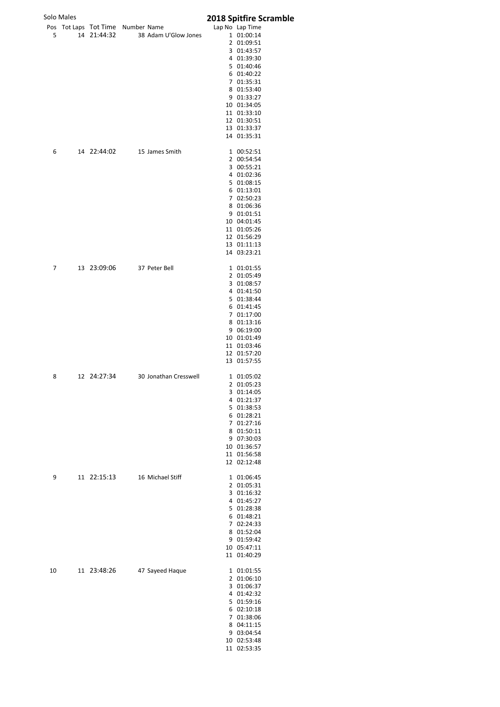|    | Solo Males |                           |                                   | 2018 Spitfire Scramble     |
|----|------------|---------------------------|-----------------------------------|----------------------------|
|    |            |                           | Pos Tot Laps Tot Time Number Name | Lap No Lap Time            |
| 5  |            |                           | 14 21:44:32 38 Adam U'Glow Jones  | 1 01:00:14                 |
|    |            |                           |                                   | 2 01:09:51                 |
|    |            |                           |                                   | 3 01:43:57<br>4 01:39:30   |
|    |            |                           |                                   | 5 01:40:46                 |
|    |            |                           |                                   | 6 01:40:22                 |
|    |            |                           |                                   | 7 01:35:31                 |
|    |            |                           |                                   | 8 01:53:40                 |
|    |            |                           |                                   | 9 01:33:27<br>10 01:34:05  |
|    |            |                           |                                   | 11 01:33:10                |
|    |            |                           |                                   | 12 01:30:51                |
|    |            |                           |                                   | 13 01:33:37                |
|    |            |                           |                                   | 14 01:35:31                |
| 6  |            |                           | 14 22:44:02 15 James Smith        | 1 00:52:51                 |
|    |            |                           |                                   | 2 00:54:54                 |
|    |            |                           |                                   | 3 00:55:21<br>4 01:02:36   |
|    |            |                           |                                   | 5 01:08:15                 |
|    |            |                           |                                   | 6 01:13:01                 |
|    |            |                           |                                   | 7 02:50:23                 |
|    |            |                           |                                   | 8 01:06:36                 |
|    |            |                           |                                   | 9 01:01:51<br>10 04:01:45  |
|    |            |                           |                                   | 11 01:05:26                |
|    |            |                           |                                   | 12 01:56:29                |
|    |            |                           |                                   | 13 01:11:13                |
|    |            |                           |                                   | 14 03:23:21                |
| 7  |            | 13 23:09:06 37 Peter Bell |                                   | 1 01:01:55                 |
|    |            |                           |                                   | 2 01:05:49<br>3 01:08:57   |
|    |            |                           |                                   | 4 01:41:50                 |
|    |            |                           |                                   | 5 01:38:44                 |
|    |            |                           |                                   | 6 01:41:45                 |
|    |            |                           |                                   | 7 01:17:00                 |
|    |            |                           |                                   | 8 01:13:16                 |
|    |            |                           |                                   | 9 06:19:00<br>10 01:01:49  |
|    |            |                           |                                   | 11 01:03:46                |
|    |            |                           |                                   | 12 01:57:20                |
|    |            |                           |                                   | 13 01:57:55                |
| 8  |            | 12 24:27:34               | 30 Jonathan Cresswell             | 1 01:05:02                 |
|    |            |                           |                                   | 2 01:05:23                 |
|    |            |                           |                                   | 3 01:14:05<br>4 01:21:37   |
|    |            |                           |                                   | 5 01:38:53                 |
|    |            |                           |                                   | 6 01:28:21                 |
|    |            |                           |                                   | 7 01:27:16                 |
|    |            |                           |                                   | 8 01:50:11<br>9 07:30:03   |
|    |            |                           |                                   | 10 01:36:57                |
|    |            |                           |                                   | 11 01:56:58                |
|    |            |                           |                                   | 12 02:12:48                |
| 9  |            |                           | 11 22:15:13 16 Michael Stiff      | 1 01:06:45                 |
|    |            |                           |                                   | 2 01:05:31                 |
|    |            |                           |                                   | 3 01:16:32<br>4 01:45:27   |
|    |            |                           |                                   | 5 01:28:38                 |
|    |            |                           |                                   | 6 01:48:21                 |
|    |            |                           |                                   | 7 02:24:33                 |
|    |            |                           |                                   | 8 01:52:04                 |
|    |            |                           |                                   | 9 01:59:42<br>10 05:47:11  |
|    |            |                           |                                   | 11 01:40:29                |
| 10 |            | 11 23:48:26               | 47 Sayeed Haque                   | 1 01:01:55                 |
|    |            |                           |                                   | 2 01:06:10                 |
|    |            |                           |                                   | 3 01:06:37                 |
|    |            |                           |                                   | 4 01:42:32<br>5 01:59:16   |
|    |            |                           |                                   | 6 02:10:18                 |
|    |            |                           |                                   | 7 01:38:06                 |
|    |            |                           |                                   | 8 04:11:15                 |
|    |            |                           |                                   | 9 03:04:54                 |
|    |            |                           |                                   | 10 02:53:48<br>11 02:53:35 |
|    |            |                           |                                   |                            |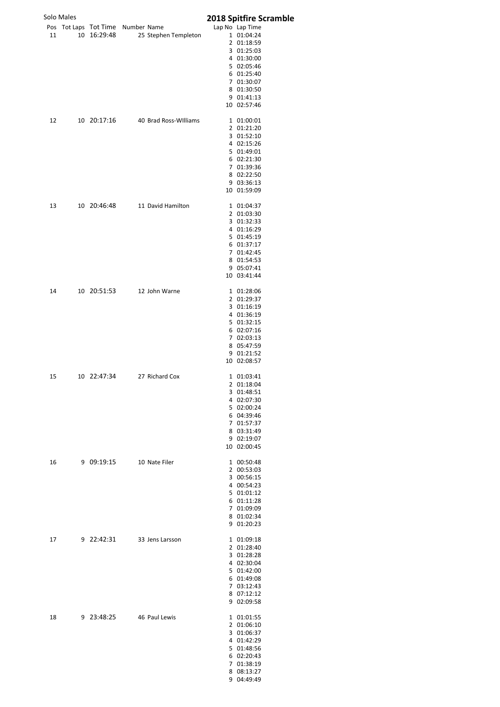|    | Solo Males |                          |                                   | 2018 Spitfire Scramble    |
|----|------------|--------------------------|-----------------------------------|---------------------------|
|    |            |                          | Pos Tot Laps Tot Time Number Name | Lap No Lap Time           |
| 11 |            |                          | 10 16:29:48 25 Stephen Templeton  | 1 01:04:24                |
|    |            |                          |                                   | 2 01:18:59                |
|    |            |                          |                                   | 3 01:25:03<br>4 01:30:00  |
|    |            |                          |                                   | 5 02:05:46                |
|    |            |                          |                                   | 6 01:25:40                |
|    |            |                          |                                   | 7 01:30:07                |
|    |            |                          |                                   | 8 01:30:50                |
|    |            |                          |                                   | 9 01:41:13                |
|    |            |                          |                                   | 10 02:57:46               |
| 12 |            |                          | 10 20:17:16 40 Brad Ross-Williams | 1 01:00:01                |
|    |            |                          |                                   | 2 01:21:20                |
|    |            |                          |                                   | 3 01:52:10<br>4 02:15:26  |
|    |            |                          |                                   | 5 01:49:01                |
|    |            |                          |                                   | 6 02:21:30                |
|    |            |                          |                                   | 7 01:39:36                |
|    |            |                          |                                   | 8 02:22:50                |
|    |            |                          |                                   | 9 03:36:13<br>10 01:59:09 |
|    |            |                          |                                   |                           |
| 13 |            |                          | 10 20:46:48 11 David Hamilton     | 1 01:04:37                |
|    |            |                          |                                   | 2 01:03:30                |
|    |            |                          |                                   | 3 01:32:33<br>4 01:16:29  |
|    |            |                          |                                   | 5 01:45:19                |
|    |            |                          |                                   | 6 01:37:17                |
|    |            |                          |                                   | 7 01:42:45                |
|    |            |                          |                                   | 8 01:54:53                |
|    |            |                          |                                   | 9 05:07:41<br>10 03:41:44 |
|    |            |                          |                                   |                           |
| 14 |            |                          | 10 20:51:53 12 John Warne         | 1 01:28:06                |
|    |            |                          |                                   | 2 01:29:37<br>3 01:16:19  |
|    |            |                          |                                   | 4 01:36:19                |
|    |            |                          |                                   | 5 01:32:15                |
|    |            |                          |                                   | 6 02:07:16                |
|    |            |                          |                                   | 7 02:03:13                |
|    |            |                          |                                   | 8 05:47:59<br>9 01:21:52  |
|    |            |                          |                                   | 10 02:08:57               |
|    |            |                          |                                   |                           |
| 15 |            | 10 22:47:34              | 27 Richard Cox                    | 1 01:03:41<br>2 01:18:04  |
|    |            |                          |                                   | 3 01:48:51                |
|    |            |                          |                                   | 4 02:07:30                |
|    |            |                          |                                   | 5 02:00:24                |
|    |            |                          |                                   | 6 04:39:46                |
|    |            |                          |                                   | 7 01:57:37                |
|    |            |                          |                                   | 8 03:31:49<br>9 02:19:07  |
|    |            |                          |                                   | 10 02:00:45               |
|    |            |                          |                                   |                           |
| 16 |            | 9 09:19:15 10 Nate Filer |                                   | 1 00:50:48<br>2 00:53:03  |
|    |            |                          |                                   | 3 00:56:15                |
|    |            |                          |                                   | 4 00:54:23                |
|    |            |                          |                                   | 5 01:01:12                |
|    |            |                          |                                   | 6 01:11:28                |
|    |            |                          |                                   | 7 01:09:09<br>8 01:02:34  |
|    |            |                          |                                   | 9 01:20:23                |
|    |            |                          |                                   |                           |
| 17 |            |                          | 9 22:42:31 33 Jens Larsson        | 1 01:09:18<br>2 01:28:40  |
|    |            |                          |                                   | 3 01:28:28                |
|    |            |                          |                                   | 4 02:30:04                |
|    |            |                          |                                   | 5 01:42:00                |
|    |            |                          |                                   | 6 01:49:08                |
|    |            |                          |                                   | 7 03:12:43<br>8 07:12:12  |
|    |            |                          |                                   | 9 02:09:58                |
|    |            |                          |                                   |                           |
| 18 |            | 9 23:48:25 46 Paul Lewis |                                   | 1 01:01:55<br>2 01:06:10  |
|    |            |                          |                                   | 3 01:06:37                |
|    |            |                          |                                   | 4 01:42:29                |
|    |            |                          |                                   | 5 01:48:56                |
|    |            |                          |                                   | 6 02:20:43<br>7 01:38:19  |
|    |            |                          |                                   | 8 08:13:27                |
|    |            |                          |                                   | 9 04:49:49                |